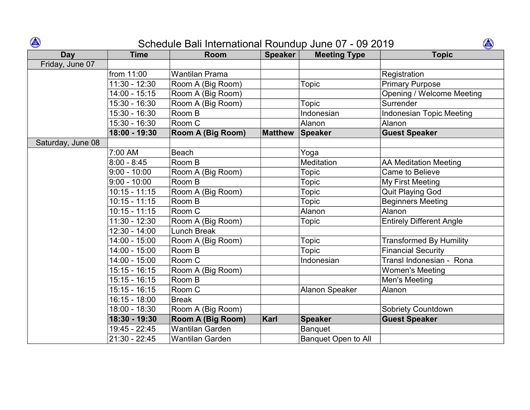## Schedule Bali International Roundup June 07 - 09 2019

| $\bigcirc$<br>企<br>Schedule Bali International Roundup June 07 - 09 2019 |                 |                          |                |                            |                                  |  |  |  |
|--------------------------------------------------------------------------|-----------------|--------------------------|----------------|----------------------------|----------------------------------|--|--|--|
| Day                                                                      | <b>Time</b>     | <b>Room</b>              | <b>Speaker</b> | <b>Meeting Type</b>        | <b>Topic</b>                     |  |  |  |
| Friday, June 07                                                          |                 |                          |                |                            |                                  |  |  |  |
|                                                                          | from 11:00      | <b>Wantilan Prama</b>    |                |                            | Registration                     |  |  |  |
|                                                                          | $11:30 - 12:30$ | Room A (Big Room)        |                | <b>Topic</b>               | <b>Primary Purpose</b>           |  |  |  |
|                                                                          | 14:00 - 15:15   | Room A (Big Room)        |                |                            | <b>Opening / Welcome Meeting</b> |  |  |  |
|                                                                          | 15:30 - 16:30   | Room A (Big Room)        |                | <b>Topic</b>               | Surrender                        |  |  |  |
|                                                                          | 15:30 - 16:30   | Room B                   |                | Indonesian                 | <b>Indonesian Topic Meeting</b>  |  |  |  |
|                                                                          | 15:30 - 16:30   | Room C                   |                | Alanon                     | Alanon                           |  |  |  |
|                                                                          | 18:00 - 19:30   | <b>Room A (Big Room)</b> | <b>Matthew</b> | Speaker                    | <b>Guest Speaker</b>             |  |  |  |
| Saturday, June 08                                                        |                 |                          |                |                            |                                  |  |  |  |
|                                                                          | 7:00 AM         | <b>Beach</b>             |                | Yoga                       |                                  |  |  |  |
|                                                                          | $8:00 - 8:45$   | Room B                   |                | Meditation                 | <b>AA Meditation Meeting</b>     |  |  |  |
|                                                                          | $9:00 - 10:00$  | Room A (Big Room)        |                | Topic                      | <b>Came to Believe</b>           |  |  |  |
|                                                                          | $9:00 - 10:00$  | Room B                   |                | Topic                      | My First Meeting                 |  |  |  |
|                                                                          | $10:15 - 11:15$ | Room A (Big Room)        |                | <b>Topic</b>               | <b>Quit Playing God</b>          |  |  |  |
|                                                                          | $10:15 - 11:15$ | Room B                   |                | Topic                      | <b>Beginners Meeting</b>         |  |  |  |
|                                                                          | $10:15 - 11:15$ | Room C                   |                | Alanon                     | Alanon                           |  |  |  |
|                                                                          | $11:30 - 12:30$ | Room A (Big Room)        |                | <b>Topic</b>               | <b>Entirely Different Angle</b>  |  |  |  |
|                                                                          | 12:30 - 14:00   | <b>Lunch Break</b>       |                |                            |                                  |  |  |  |
|                                                                          | 14:00 - 15:00   | Room A (Big Room)        |                | Topic                      | <b>Transformed By Humility</b>   |  |  |  |
|                                                                          | 14:00 - 15:00   | Room B                   |                | Topic                      | <b>Financial Security</b>        |  |  |  |
|                                                                          | 14:00 - 15:00   | Room C                   |                | Indonesian                 | Transl Indonesian - Rona         |  |  |  |
|                                                                          | 15:15 - 16:15   | Room A (Big Room)        |                |                            | <b>Women's Meeting</b>           |  |  |  |
|                                                                          | $15:15 - 16:15$ | Room B                   |                |                            | Men's Meeting                    |  |  |  |
|                                                                          | $15:15 - 16:15$ | Room C                   |                | <b>Alanon Speaker</b>      | Alanon                           |  |  |  |
|                                                                          | $16:15 - 18:00$ | <b>Break</b>             |                |                            |                                  |  |  |  |
|                                                                          | 18:00 - 18:30   | Room A (Big Room)        |                |                            | <b>Sobriety Countdown</b>        |  |  |  |
|                                                                          | 18:30 - 19:30   | <b>Room A (Big Room)</b> | Karl           | Speaker                    | <b>Guest Speaker</b>             |  |  |  |
|                                                                          | 19:45 - 22:45   | <b>Wantilan Garden</b>   |                | <b>Banquet</b>             |                                  |  |  |  |
|                                                                          | $21:30 - 22:45$ | <b>Wantilan Garden</b>   |                | <b>Banquet Open to All</b> |                                  |  |  |  |